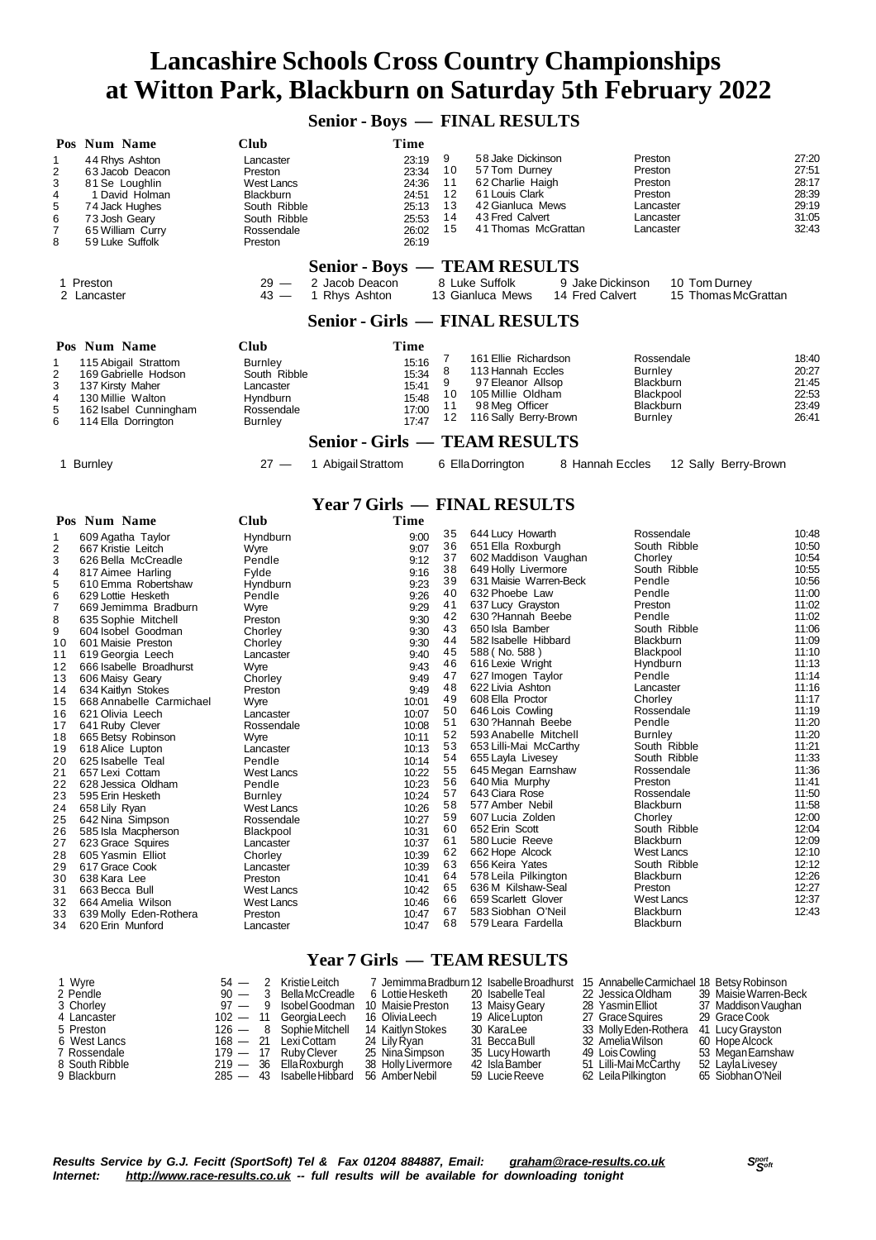**Senior - Boys — FINAL RESULTS**

| 1<br>2<br>3<br>4<br>5<br>6<br>7<br>8                                                                                                                                                            | Pos Num Name<br>44 Rhys Ashton<br>63 Jacob Deacon<br>81 Se Loughlin<br>1 David Holman<br>74 Jack Hughes<br>73 Josh Geary<br>65 William Curry<br>59 Luke Suffolk                                                                                                                                                                                                                                                                                                                                                                                                                                                                                                                                                                                  | Club<br>Lancaster<br>Preston<br><b>West Lancs</b><br><b>Blackburn</b><br>South Ribble<br>South Ribble<br>Rossendale<br>Preston                                                                                                                                                                                                                                                                                              | Time<br>23:19<br>23:34<br>24:36<br>24:51<br>25:13<br>25:53<br>26:02<br>26:19                                                                                                                                                                                                                     | 9<br>10<br>11<br>12<br>13<br>14<br>15                                                                                                                                                                    | 58 Jake Dickinson<br>57 Tom Durney<br>62 Charlie Haigh<br>61 Louis Clark<br>42 Gianluca Mews<br>43 Fred Calvert<br>41 Thomas McGrattan                                                                                                                                                                                                                                                                                                                                                                                                                                                                                                                                                                                              |                  | Preston<br>Preston<br>Preston<br>Preston<br>Lancaster<br>Lancaster<br>Lancaster                                                                                                                                                                                                                                                                                                                                                                                          |               | 27:20<br>27:51<br>28:17<br>28:39<br>29:19<br>31:05<br>32:43                                                                                                                                                                                                                                           |  |
|-------------------------------------------------------------------------------------------------------------------------------------------------------------------------------------------------|--------------------------------------------------------------------------------------------------------------------------------------------------------------------------------------------------------------------------------------------------------------------------------------------------------------------------------------------------------------------------------------------------------------------------------------------------------------------------------------------------------------------------------------------------------------------------------------------------------------------------------------------------------------------------------------------------------------------------------------------------|-----------------------------------------------------------------------------------------------------------------------------------------------------------------------------------------------------------------------------------------------------------------------------------------------------------------------------------------------------------------------------------------------------------------------------|--------------------------------------------------------------------------------------------------------------------------------------------------------------------------------------------------------------------------------------------------------------------------------------------------|----------------------------------------------------------------------------------------------------------------------------------------------------------------------------------------------------------|-------------------------------------------------------------------------------------------------------------------------------------------------------------------------------------------------------------------------------------------------------------------------------------------------------------------------------------------------------------------------------------------------------------------------------------------------------------------------------------------------------------------------------------------------------------------------------------------------------------------------------------------------------------------------------------------------------------------------------------|------------------|--------------------------------------------------------------------------------------------------------------------------------------------------------------------------------------------------------------------------------------------------------------------------------------------------------------------------------------------------------------------------------------------------------------------------------------------------------------------------|---------------|-------------------------------------------------------------------------------------------------------------------------------------------------------------------------------------------------------------------------------------------------------------------------------------------------------|--|
| 1.                                                                                                                                                                                              | Preston                                                                                                                                                                                                                                                                                                                                                                                                                                                                                                                                                                                                                                                                                                                                          | $29 -$                                                                                                                                                                                                                                                                                                                                                                                                                      | Senior - Boys — TEAM RESULTS<br>2 Jacob Deacon                                                                                                                                                                                                                                                   |                                                                                                                                                                                                          | 8 Luke Suffolk                                                                                                                                                                                                                                                                                                                                                                                                                                                                                                                                                                                                                                                                                                                      | 9 Jake Dickinson |                                                                                                                                                                                                                                                                                                                                                                                                                                                                          | 10 Tom Durney |                                                                                                                                                                                                                                                                                                       |  |
|                                                                                                                                                                                                 | 2 Lancaster                                                                                                                                                                                                                                                                                                                                                                                                                                                                                                                                                                                                                                                                                                                                      | $43 -$                                                                                                                                                                                                                                                                                                                                                                                                                      | 1 Rhys Ashton<br><b>Senior - Girls — FINAL RESULTS</b>                                                                                                                                                                                                                                           |                                                                                                                                                                                                          | 13 Gianluca Mews                                                                                                                                                                                                                                                                                                                                                                                                                                                                                                                                                                                                                                                                                                                    | 14 Fred Calvert  |                                                                                                                                                                                                                                                                                                                                                                                                                                                                          |               | 15 Thomas McGrattan                                                                                                                                                                                                                                                                                   |  |
|                                                                                                                                                                                                 | Pos Num Name                                                                                                                                                                                                                                                                                                                                                                                                                                                                                                                                                                                                                                                                                                                                     | Club                                                                                                                                                                                                                                                                                                                                                                                                                        | Time                                                                                                                                                                                                                                                                                             |                                                                                                                                                                                                          |                                                                                                                                                                                                                                                                                                                                                                                                                                                                                                                                                                                                                                                                                                                                     |                  |                                                                                                                                                                                                                                                                                                                                                                                                                                                                          |               |                                                                                                                                                                                                                                                                                                       |  |
| 1<br>$\overline{\mathbf{c}}$<br>3<br>4<br>5<br>6                                                                                                                                                | 115 Abigail Strattom<br>169 Gabrielle Hodson<br>137 Kirsty Maher<br>130 Millie Walton<br>162 Isabel Cunningham<br>114 Ella Dorrington                                                                                                                                                                                                                                                                                                                                                                                                                                                                                                                                                                                                            | <b>Burnley</b><br>South Ribble<br>Lancaster<br>Hyndburn<br>Rossendale<br><b>Burnley</b>                                                                                                                                                                                                                                                                                                                                     | 15:16<br>15:34<br>15:41<br>15:48<br>17:00<br>17:47<br><b>Senior - Girls — TEAM RESULTS</b>                                                                                                                                                                                                       | 7<br>8<br>9<br>10<br>11<br>12                                                                                                                                                                            | 161 Ellie Richardson<br>113 Hannah Eccles<br>97 Eleanor Allsop<br>105 Millie Oldham<br>98 Meg Officer<br>116 Sally Berry-Brown                                                                                                                                                                                                                                                                                                                                                                                                                                                                                                                                                                                                      |                  | Rossendale<br><b>Burnley</b><br>Blackburn<br>Blackpool<br>Blackburn<br><b>Burnley</b>                                                                                                                                                                                                                                                                                                                                                                                    |               | 18:40<br>20:27<br>21:45<br>22:53<br>23:49<br>26:41                                                                                                                                                                                                                                                    |  |
|                                                                                                                                                                                                 | 1 Burnley                                                                                                                                                                                                                                                                                                                                                                                                                                                                                                                                                                                                                                                                                                                                        | $27 -$                                                                                                                                                                                                                                                                                                                                                                                                                      | 1 Abigail Strattom                                                                                                                                                                                                                                                                               |                                                                                                                                                                                                          | 6 Ella Dorrington                                                                                                                                                                                                                                                                                                                                                                                                                                                                                                                                                                                                                                                                                                                   | 8 Hannah Eccles  |                                                                                                                                                                                                                                                                                                                                                                                                                                                                          |               | 12 Sally Berry-Brown                                                                                                                                                                                                                                                                                  |  |
|                                                                                                                                                                                                 |                                                                                                                                                                                                                                                                                                                                                                                                                                                                                                                                                                                                                                                                                                                                                  |                                                                                                                                                                                                                                                                                                                                                                                                                             | <b>Year 7 Girls — FINAL RESULTS</b>                                                                                                                                                                                                                                                              |                                                                                                                                                                                                          |                                                                                                                                                                                                                                                                                                                                                                                                                                                                                                                                                                                                                                                                                                                                     |                  |                                                                                                                                                                                                                                                                                                                                                                                                                                                                          |               |                                                                                                                                                                                                                                                                                                       |  |
|                                                                                                                                                                                                 | Pos Num Name                                                                                                                                                                                                                                                                                                                                                                                                                                                                                                                                                                                                                                                                                                                                     | Club                                                                                                                                                                                                                                                                                                                                                                                                                        | Time                                                                                                                                                                                                                                                                                             |                                                                                                                                                                                                          |                                                                                                                                                                                                                                                                                                                                                                                                                                                                                                                                                                                                                                                                                                                                     |                  |                                                                                                                                                                                                                                                                                                                                                                                                                                                                          |               |                                                                                                                                                                                                                                                                                                       |  |
| 1<br>2<br>3<br>4<br>5<br>6<br>7<br>8<br>9<br>10<br>11<br>12<br>13<br>14<br>15<br>16<br>17<br>18<br>19<br>20<br>21<br>22<br>23<br>24<br>25<br>26<br>27<br>28<br>29<br>30<br>31<br>32<br>33<br>34 | 609 Agatha Taylor<br>667 Kristie Leitch<br>626 Bella McCreadle<br>817 Aimee Harling<br>610 Emma Robertshaw<br>629 Lottie Hesketh<br>669 Jemimma Bradburn<br>635 Sophie Mitchell<br>604 Isobel Goodman<br>601 Maisie Preston<br>619 Georgia Leech<br>666 Isabelle Broadhurst<br>606 Maisy Geary<br>634 Kaitlyn Stokes<br>668 Annabelle Carmichael<br>621 Olivia Leech<br>641 Ruby Clever<br>665 Betsy Robinson<br>618 Alice Lupton<br>625 Isabelle Teal<br>657 Lexi Cottam<br>628 Jessica Oldham<br>595 Erin Hesketh<br>658 Lily Ryan<br>642 Nina Simpson<br>585 Isla Macpherson<br>623 Grace Squires<br>605 Yasmin Elliot<br>617 Grace Cook<br>638 Kara Lee<br>663 Becca Bull<br>664 Amelia Wilson<br>639 Molly Eden-Rothera<br>620 Erin Munford | Hyndburn<br>Wyre<br>Pendle<br>Fylde<br>Hyndburn<br>Pendle<br>Wyre<br>Preston<br>Chorley<br>Chorley<br>Lancaster<br>Wyre<br>Chorley<br>Preston<br>Wyre<br>Lancaster<br>Rossendale<br>Wyre<br>Lancaster<br>Pendle<br><b>West Lancs</b><br>Pendle<br>Burnley<br><b>West Lancs</b><br>Rossendale<br>Blackpool<br>Lancaster<br>Chorley<br>Lancaster<br>Preston<br><b>West Lancs</b><br><b>West Lancs</b><br>Preston<br>Lancaster | 9:00<br>9:07<br>9:12<br>9:16<br>9:23<br>9:26<br>9:29<br>9:30<br>9:30<br>9:30<br>9:40<br>9:43<br>9:49<br>9:49<br>10:01<br>10:07<br>10:08<br>10:11<br>10:13<br>10:14<br>10:22<br>10:23<br>10:24<br>10:26<br>10:27<br>10:31<br>10:37<br>10:39<br>10:39<br>10:41<br>10:42<br>10:46<br>10:47<br>10:47 | 35<br>36<br>37<br>38<br>39<br>40<br>41<br>42<br>43<br>44<br>45<br>46<br>47<br>48<br>49<br>50<br>51<br>52<br>53<br>54<br>55<br>56<br>57<br>58<br>59<br>60<br>61<br>62<br>63<br>64<br>65<br>66<br>67<br>68 | 644 Lucy Howarth<br>651 Ella Roxburgh<br>602 Maddison Vaughan<br>649 Holly Livermore<br>631 Maisie Warren-Beck<br>632 Phoebe Law<br>637 Lucy Grayston<br>630?Hannah Beebe<br>650 Isla Bamber<br>582 Isabelle Hibbard<br>588 (No. 588)<br>616 Lexie Wright<br>627 Imogen Taylor<br>622 Livia Ashton<br>608 Ella Proctor<br>646 Lois Cowling<br>630?Hannah Beebe<br>593 Anabelle Mitchell<br>653 Lilli-Mai McCarthy<br>655 Layla Livesey<br>645 Megan Earnshaw<br>640 Mia Murphy<br>643 Ciara Rose<br>577 Amber Nebil<br>607 Lucia Zolden<br>652 Erin Scott<br>580 Lucie Reeve<br>662 Hope Alcock<br>656 Keira Yates<br>578 Leila Pilkington<br>636 M Kilshaw-Seal<br>659 Scarlett Glover<br>583 Siobhan O'Neil<br>579 Leara Fardella |                  | Rossendale<br>South Ribble<br>Chorley<br>South Ribble<br>Pendle<br>Pendle<br>Preston<br>Pendle<br>South Ribble<br>Blackburn<br>Blackpool<br>Hyndburn<br>Pendle<br>Lancaster<br>Chorley<br>Rossendale<br>Pendle<br><b>Burnley</b><br>South Ribble<br>South Ribble<br>Rossendale<br>Preston<br>Rossendale<br>Blackburn<br>Chorley<br>South Ribble<br>Blackburn<br><b>West Lancs</b><br>South Ribble<br>Blackburn<br>Preston<br><b>West Lancs</b><br>Blackburn<br>Blackburn |               | 10:48<br>10:50<br>10:54<br>10:55<br>10:56<br>11:00<br>11:02<br>11:02<br>11:06<br>11:09<br>11:10<br>11:13<br>11:14<br>11:16<br>11:17<br>11:19<br>11:20<br>11:20<br>11:21<br>11:33<br>11:36<br>11:41<br>11:50<br>11:58<br>12:00<br>12:04<br>12:09<br>12:10<br>12:12<br>12:26<br>12:27<br>12:37<br>12:43 |  |
|                                                                                                                                                                                                 | 1 Wyre                                                                                                                                                                                                                                                                                                                                                                                                                                                                                                                                                                                                                                                                                                                                           | 2 Kristie Leitch<br>54 —                                                                                                                                                                                                                                                                                                                                                                                                    | <b>Year 7 Girls — TEAM RESULTS</b>                                                                                                                                                                                                                                                               |                                                                                                                                                                                                          | 7 Jemimma Bradburn 12 Isabelle Broadhurst 15 Annabelle Carmichael 18 Betsy Robinson                                                                                                                                                                                                                                                                                                                                                                                                                                                                                                                                                                                                                                                 |                  |                                                                                                                                                                                                                                                                                                                                                                                                                                                                          |               |                                                                                                                                                                                                                                                                                                       |  |

|  | 6 Lottie Hesketh                                                                                                                                        |                                                                              |                                                                                                                                                                                           |                                                                                                                                                                           | 39 Maisie Warren-Beck                            |
|--|---------------------------------------------------------------------------------------------------------------------------------------------------------|------------------------------------------------------------------------------|-------------------------------------------------------------------------------------------------------------------------------------------------------------------------------------------|---------------------------------------------------------------------------------------------------------------------------------------------------------------------------|--------------------------------------------------|
|  | 10 Maisie Preston                                                                                                                                       |                                                                              |                                                                                                                                                                                           |                                                                                                                                                                           | 37 Maddison Vaughan                              |
|  | 16 Olivia Leech                                                                                                                                         |                                                                              |                                                                                                                                                                                           |                                                                                                                                                                           | 29 Grace Cook                                    |
|  | 14 Kaitlyn Stokes                                                                                                                                       |                                                                              |                                                                                                                                                                                           |                                                                                                                                                                           | 41 Lucy Gravston                                 |
|  | 24 Lilv Rvan                                                                                                                                            |                                                                              |                                                                                                                                                                                           |                                                                                                                                                                           | 60 Hope Alcock                                   |
|  | 25 Nina Simpson                                                                                                                                         |                                                                              |                                                                                                                                                                                           |                                                                                                                                                                           | 53 Megan Earnshaw                                |
|  | 38 Holly Livermore                                                                                                                                      |                                                                              |                                                                                                                                                                                           |                                                                                                                                                                           | 52 Lavla Livesev                                 |
|  | 56 AmberNebil                                                                                                                                           |                                                                              |                                                                                                                                                                                           |                                                                                                                                                                           | 65 SiobhanO'Neil                                 |
|  | $54 - 2$ Nisue Leiten<br>$102 - 11$ Georgia Leech<br>126 - 8 Sophie Mitchell<br>168 - 21 LexiCottam<br>179 - 17 Ruby Clever<br>$219 - 36$ Ella Roxburgh | 90 - 3 Bella McCreadle<br>97 — 9 Isobel Goodman<br>285 - 43 Isabelle Hibbard | 7 Jernimia Bragdum iz isadelle Broadnuist<br>20 Isabelle Teal<br>13 Maisv Gearv<br>19 Alice Lupton<br>30 Kara Lee<br>31 Becca Bull<br>35 Lucy Howarth<br>42 Isla Bamber<br>59 Lucie Reeve | 22 Jessica Oldham<br>28 Yasmin Elliot<br>27 Grace Squires<br>33 Molly Eden-Rothera<br>32 Amelia Wilson<br>49 Lois Cowling<br>51 Lilli-Mai McCarthy<br>62 Leila Pilkington | <b>13 Annabelle Camnichael To Betsy Robinson</b> |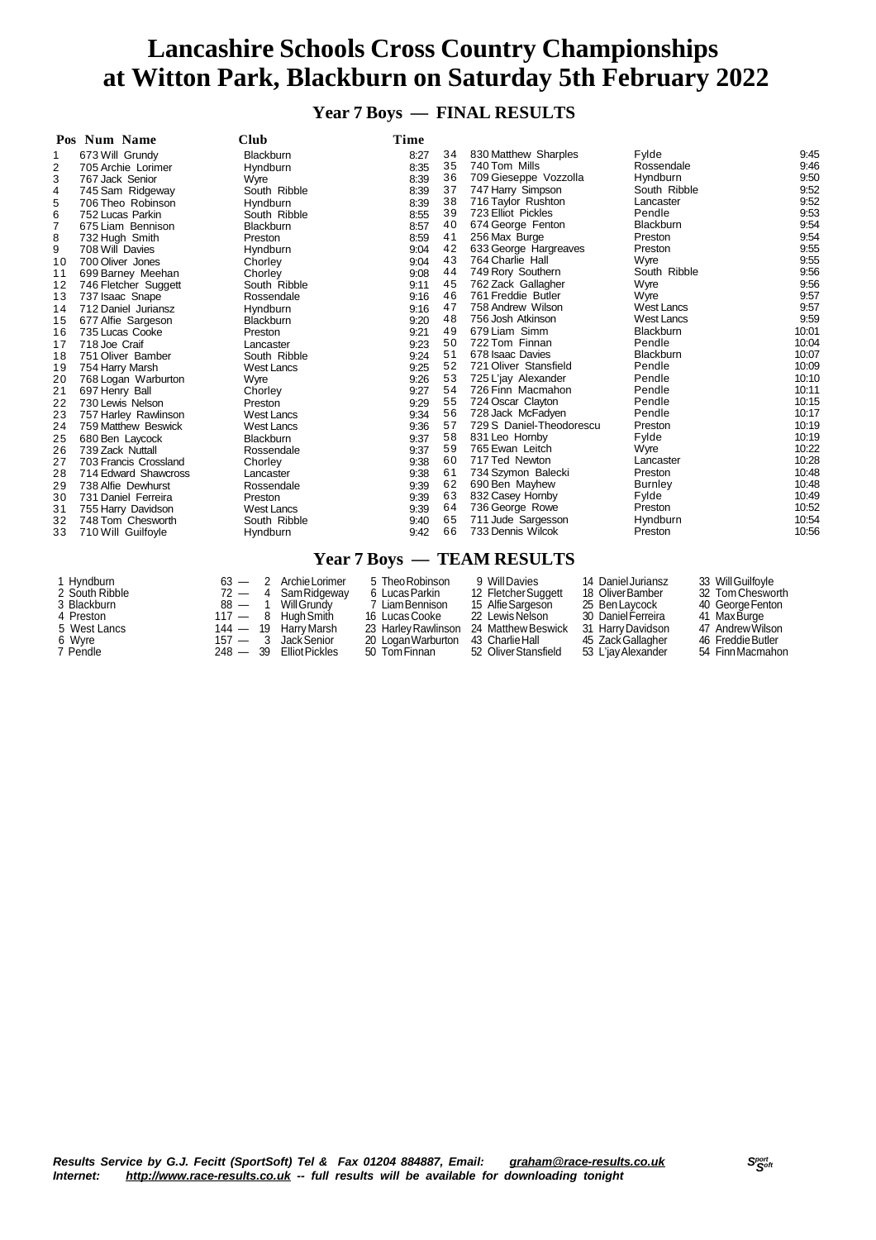**Year 7 Boys — FINAL RESULTS**

|                | Pos Num Name          | <b>Club</b>       | Time |    |                          |                   |       |
|----------------|-----------------------|-------------------|------|----|--------------------------|-------------------|-------|
| 1              | 673 Will Grundy       | Blackburn         | 8:27 | 34 | 830 Matthew Sharples     | Fylde             | 9:45  |
| 2              | 705 Archie Lorimer    | Hyndburn          | 8:35 | 35 | 740 Tom Mills            | Rossendale        | 9:46  |
| 3              | 767 Jack Senior       | Wyre              | 8:39 | 36 | 709 Gieseppe Vozzolla    | Hyndburn          | 9:50  |
| 4              | 745 Sam Ridgeway      | South Ribble      | 8:39 | 37 | 747 Harry Simpson        | South Ribble      | 9:52  |
| 5              | 706 Theo Robinson     | Hyndburn          | 8:39 | 38 | 716 Taylor Rushton       | Lancaster         | 9:52  |
| 6              | 752 Lucas Parkin      | South Ribble      | 8:55 | 39 | 723 Elliot Pickles       | Pendle            | 9:53  |
| $\overline{7}$ | 675 Liam Bennison     | <b>Blackburn</b>  | 8:57 | 40 | 674 George Fenton        | <b>Blackburn</b>  | 9:54  |
| 8              | 732 Hugh Smith        | Preston           | 8:59 | 41 | 256 Max Burge            | Preston           | 9:54  |
| 9              | 708 Will Davies       | <b>Hyndburn</b>   | 9:04 | 42 | 633 George Hargreaves    | Preston           | 9:55  |
| 10             | 700 Oliver Jones      | Chorley           | 9:04 | 43 | 764 Charlie Hall         | Wyre              | 9:55  |
| 11             | 699 Barney Meehan     | Chorley           | 9:08 | 44 | 749 Rory Southern        | South Ribble      | 9:56  |
| 12             | 746 Fletcher Suggett  | South Ribble      | 9:11 | 45 | 762 Zack Gallagher       | Wyre              | 9:56  |
| 13             | 737 Isaac Snape       | Rossendale        | 9:16 | 46 | 761 Freddie Butler       | Wyre              | 9:57  |
| 14             | 712 Daniel Juriansz   | Hyndburn          | 9:16 | 47 | 758 Andrew Wilson        | <b>West Lancs</b> | 9:57  |
| 15             | 677 Alfie Sargeson    | <b>Blackburn</b>  | 9:20 | 48 | 756 Josh Atkinson        | <b>West Lancs</b> | 9:59  |
| 16             | 735 Lucas Cooke       | Preston           | 9:21 | 49 | 679 Liam Simm            | Blackburn         | 10:01 |
| 17             | 718 Joe Craif         | Lancaster         | 9:23 | 50 | 722 Tom Finnan           | Pendle            | 10:04 |
| 18             | 751 Oliver Bamber     | South Ribble      | 9:24 | 51 | 678 Isaac Davies         | <b>Blackburn</b>  | 10:07 |
| 19             | 754 Harry Marsh       | <b>West Lancs</b> | 9:25 | 52 | 721 Oliver Stansfield    | Pendle            | 10:09 |
| 20             | 768 Logan Warburton   | Wyre              | 9:26 | 53 | 725 L'jay Alexander      | Pendle            | 10:10 |
| 21             | 697 Henry Ball        | Chorley           | 9:27 | 54 | 726 Finn Macmahon        | Pendle            | 10:11 |
| 22             | 730 Lewis Nelson      | Preston           | 9:29 | 55 | 724 Oscar Clayton        | Pendle            | 10:15 |
| 23             | 757 Harley Rawlinson  | <b>West Lancs</b> | 9:34 | 56 | 728 Jack McFadyen        | Pendle            | 10:17 |
| 24             | 759 Matthew Beswick   | <b>West Lancs</b> | 9:36 | 57 | 729 S Daniel-Theodorescu | Preston           | 10:19 |
| 25             | 680 Ben Laycock       | <b>Blackburn</b>  | 9:37 | 58 | 831 Leo Hornby           | Fylde             | 10:19 |
| 26             | 739 Zack Nuttall      | Rossendale        | 9:37 | 59 | 765 Ewan Leitch          | Wyre              | 10:22 |
| 27             | 703 Francis Crossland | Chorley           | 9:38 | 60 | 717 Ted Newton           | Lancaster         | 10:28 |
| 28             | 714 Edward Shawcross  | Lancaster         | 9:38 | 61 | 734 Szymon Balecki       | Preston           | 10:48 |
| 29             | 738 Alfie Dewhurst    | Rossendale        | 9:39 | 62 | 690 Ben Mayhew           | Burnley           | 10:48 |
| 30             | 731 Daniel Ferreira   | Preston           | 9:39 | 63 | 832 Casey Hornby         | Fylde             | 10:49 |
| 31             | 755 Harry Davidson    | <b>West Lancs</b> | 9:39 | 64 | 736 George Rowe          | Preston           | 10:52 |
| 32             | 748 Tom Chesworth     | South Ribble      | 9:40 | 65 | 711 Jude Sargesson       | Hyndburn          | 10:54 |
| 33             | 710 Will Guilfoyle    | Hyndburn          | 9:42 | 66 | 733 Dennis Wilcok        | Preston           | 10:56 |
|                |                       |                   |      |    |                          |                   |       |

#### **Year 7 Boys — TEAM RESULTS**

| 1 Hyndburn     |            | $63 - 2$ Archie Lorimer | 5 Theo Robinson     | 9 Will Davies        | 14 Daniel Juriansz | 33 Will Guilfoyle |
|----------------|------------|-------------------------|---------------------|----------------------|--------------------|-------------------|
| 2 South Ribble | $72 - 4$   | Sam Ridgeway            | 6 Lucas Parkin      | 12 Fletcher Suggett  | 18 Oliver Bamber   | 32 Tom Chesworth  |
| 3 Blackburn    | $88 - 1$   | Will Grundv             | 7 Liam Bennison     | 15 Alfie Sargeson    | 25 Ben Lavcock     | 40 George Fenton  |
| 4 Preston      | $117 - 8$  | Hugh Smith              | 16 Lucas Cooke      | 22 Lewis Nelson      | 30 Daniel Ferreira | 41 Max Burge      |
| 5 West Lancs   | $144 - 19$ | Harry Marsh             | 23 Harley Rawlinson | 24 Matthew Beswick   | 31 Harry Davidson  | 47 Andrew Wilson  |
| 6 Wyre         |            | 157 — 3 Jack Senior     | 20 Logan Warburton  | 43 Charlie Hall      | 45 Zack Gallagher  | 46 Freddie Butler |
| 7 Pendle       | $248 - 39$ | Elliot Pickles          | 50 Tom Finnan       | 52 Oliver Stansfield | 53 L'iay Alexander | 54 Finn Macmahon  |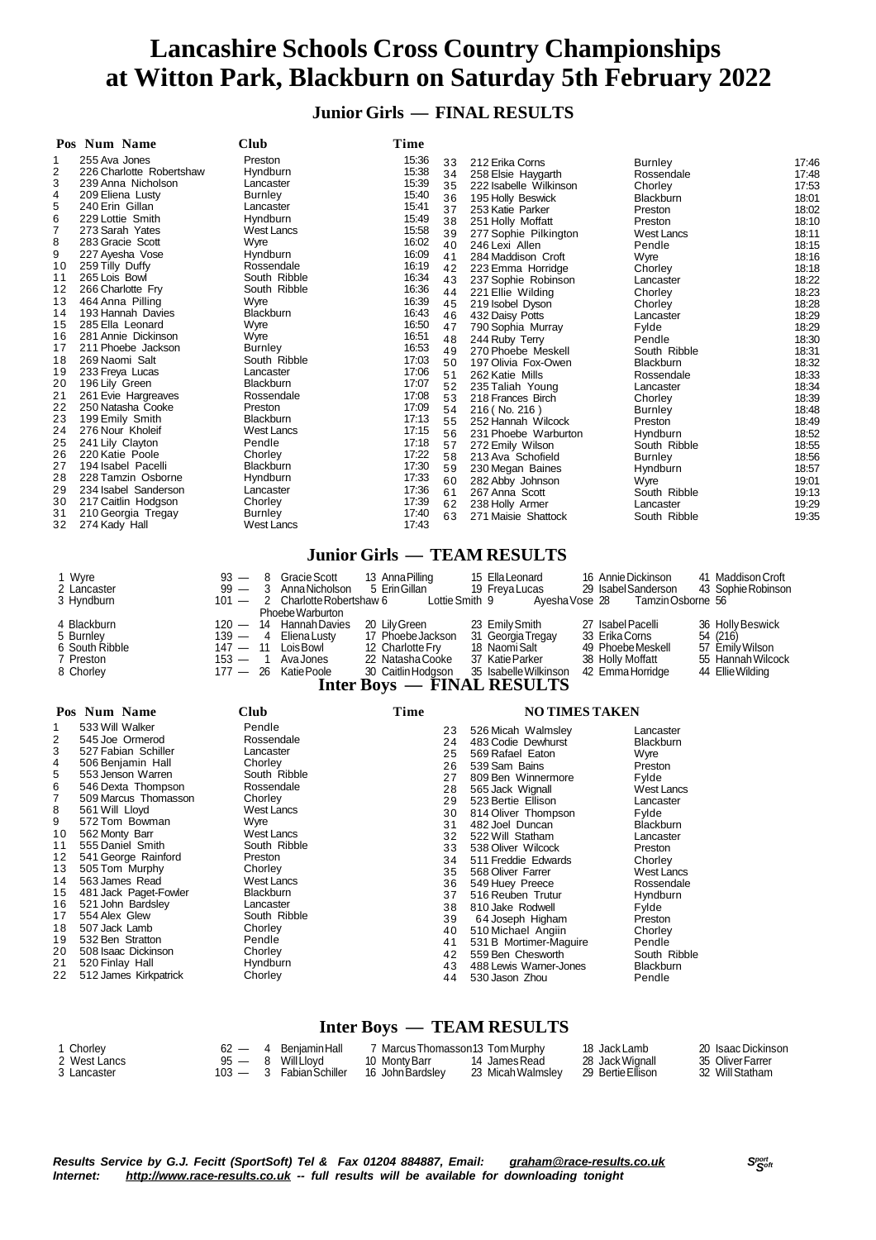### **Junior Girls — FINAL RESULTS**

| Pos Num Name                                                                                                                                                                                                                                                                                                                                                                                                                                                                                                                                                                                                                                                                                                                                                                                                                                                                | Club                                                                                                                                                                                                                                                                                                                                                                                                                                                                       | Time                                                                                                                                                                                                                                                                                                                                                                                                                                                                                                |                                                                                                                                                                                                                                                                                                                                                                                                                                                                                                                                                                                                                                                                                                                                |                                                                                                                                                                                                                                                                                                                                                                                                                                      |                                                                                                                                                                                                                                                                                                          |
|-----------------------------------------------------------------------------------------------------------------------------------------------------------------------------------------------------------------------------------------------------------------------------------------------------------------------------------------------------------------------------------------------------------------------------------------------------------------------------------------------------------------------------------------------------------------------------------------------------------------------------------------------------------------------------------------------------------------------------------------------------------------------------------------------------------------------------------------------------------------------------|----------------------------------------------------------------------------------------------------------------------------------------------------------------------------------------------------------------------------------------------------------------------------------------------------------------------------------------------------------------------------------------------------------------------------------------------------------------------------|-----------------------------------------------------------------------------------------------------------------------------------------------------------------------------------------------------------------------------------------------------------------------------------------------------------------------------------------------------------------------------------------------------------------------------------------------------------------------------------------------------|--------------------------------------------------------------------------------------------------------------------------------------------------------------------------------------------------------------------------------------------------------------------------------------------------------------------------------------------------------------------------------------------------------------------------------------------------------------------------------------------------------------------------------------------------------------------------------------------------------------------------------------------------------------------------------------------------------------------------------|--------------------------------------------------------------------------------------------------------------------------------------------------------------------------------------------------------------------------------------------------------------------------------------------------------------------------------------------------------------------------------------------------------------------------------------|----------------------------------------------------------------------------------------------------------------------------------------------------------------------------------------------------------------------------------------------------------------------------------------------------------|
| 255 Ava Jones<br>1<br>2<br>226 Charlotte Robertshaw<br>3<br>239 Anna Nicholson<br>209 Eliena Lusty<br>4<br>5<br>240 Erin Gillan<br>6<br>229 Lottie Smith<br>7<br>273 Sarah Yates<br>8<br>283 Gracie Scott<br>9<br>227 Ayesha Vose<br>259 Tilly Duffy<br>10<br>265 Lois Bowl<br>11<br>12<br>266 Charlotte Fry<br>464 Anna Pilling<br>13<br>193 Hannah Davies<br>14<br>15<br>285 Ella Leonard<br>281 Annie Dickinson<br>16<br>17<br>211 Phoebe Jackson<br>18<br>269 Naomi Salt<br>19<br>233 Freya Lucas<br>20<br>196 Lily Green<br>21<br>261 Evie Hargreaves<br>22<br>250 Natasha Cooke<br>23<br>199 Emily Smith<br>24<br>276 Nour Kholeif<br>25<br>241 Lily Clayton<br>26<br>220 Katie Poole<br>27<br>194 Isabel Pacelli<br>28<br>228 Tamzin Osborne<br>29<br>234 Isabel Sanderson<br>30<br>217 Caitlin Hodgson<br>31<br>210 Georgia Tregay<br>32<br>274 Kady Hall<br>1 Wyre | Preston<br>Hyndburn<br>Lancaster<br><b>Burnley</b><br>Lancaster<br>Hyndburn<br><b>West Lancs</b><br>Wyre<br>Hyndburn<br>Rossendale<br>South Ribble<br>South Ribble<br>Wyre<br>Blackburn<br>Wyre<br>Wyre<br><b>Burnley</b><br>South Ribble<br>Lancaster<br>Blackburn<br>Rossendale<br>Preston<br>Blackburn<br><b>West Lancs</b><br>Pendle<br>Chorley<br>Blackburn<br>Hyndburn<br>Lancaster<br>Chorley<br><b>Burnley</b><br><b>West Lancs</b><br>$93 -$<br>Gracie Scott<br>8 | 15:36<br>33<br>15:38<br>34<br>15:39<br>35<br>15:40<br>36<br>15:41<br>37<br>15:49<br>38<br>15:58<br>39<br>16:02<br>40<br>16:09<br>41<br>16:19<br>16:34<br>43<br>16:36<br>44<br>16:39<br>45<br>16:43<br>46<br>16:50<br>47<br>16:51<br>48<br>16:53<br>49<br>17:03<br>50<br>17:06<br>51<br>17:07<br>52<br>17:08<br>53<br>17:09<br>54<br>17:13<br>55<br>17:15<br>56<br>17:18<br>57<br>17:22<br>58<br>17:30<br>59<br>17:33<br>60<br>17:36<br>61<br>17:39<br>62<br>17:40<br>63<br>17:43<br>13 Anna Pilling | 212 Erika Corns<br>258 Elsie Haygarth<br>222 Isabelle Wilkinson<br>195 Holly Beswick<br>253 Katie Parker<br>251 Holly Moffatt<br>277 Sophie Pilkington<br>246 Lexi Allen<br>284 Maddison Croft<br>42 223 Emma Horridge<br>237 Sophie Robinson<br>221 Ellie Wilding<br>219 Isobel Dyson<br>432 Daisy Potts<br>790 Sophia Murray<br>244 Ruby Terry<br>270 Phoebe Meskell<br>197 Olivia Fox-Owen<br>262 Katie Mills<br>235 Taliah Young<br>218 Frances Birch<br>216 (No. 216)<br>252 Hannah Wilcock<br>231 Phoebe Warburton<br>272 Emily Wilson<br>213 Ava Schofield<br>230 Megan Baines<br>282 Abby Johnson<br>267 Anna Scott<br>238 Holly Armer<br>271 Maisie Shattock<br><b>Junior Girls - TEAM RESULTS</b><br>15 Ella Leonard | <b>Burnley</b><br>Rossendale<br>Chorley<br>Blackburn<br>Preston<br>Preston<br><b>West Lancs</b><br>Pendle<br>Wyre<br>Chorley<br>Lancaster<br>Chorley<br>Chorley<br>Lancaster<br>Fylde<br>Pendle<br>South Ribble<br>Blackburn<br>Rossendale<br>Lancaster<br>Chorley<br><b>Burnley</b><br>Preston<br>Hyndburn<br>South Ribble<br><b>Burnley</b><br>Hyndburn<br>Wyre<br>South Ribble<br>Lancaster<br>South Ribble<br>16 Annie Dickinson | 17:46<br>17:48<br>17:53<br>18:01<br>18:02<br>18:10<br>18:11<br>18:15<br>18:16<br>18:18<br>18:22<br>18:23<br>18:28<br>18:29<br>18:29<br>18:30<br>18:31<br>18:32<br>18:33<br>18:34<br>18:39<br>18:48<br>18:49<br>18:52<br>18:55<br>18:56<br>18:57<br>19:01<br>19:13<br>19:29<br>19:35<br>41 Maddison Croft |
| 2 Lancaster<br>3 Hyndburn<br>4 Blackburn<br>5 Burnley<br>6 South Ribble<br>7 Preston<br>8 Chorley                                                                                                                                                                                                                                                                                                                                                                                                                                                                                                                                                                                                                                                                                                                                                                           | $99 -$<br>3<br>Anna Nicholson<br>2 Charlotte Robertshaw 6<br>$101 -$<br>Phoebe Warburton<br>$120 -$<br>14 Hannah Davies<br>$139 -$<br>4<br><b>Eliena Lusty</b><br>$147 - 11$<br>Lois Bowl<br>$153 -$<br>$\overline{1}$<br>Ava Jones<br>$177 - 26$<br>Katie Poole                                                                                                                                                                                                           | 5 Erin Gillan<br>Lottie Smith 9<br>20 Lily Green<br>17 Phoebe Jackson<br>12 Charlotte Fry<br>22 Natasha Cooke<br>30 Caitlin Hodgson                                                                                                                                                                                                                                                                                                                                                                 | 19 Freya Lucas<br>Ayesha Vose 28<br>23 Emily Smith<br>31 Georgia Tregay<br>18 Naomi Salt<br>37 Katie Parker<br>35 Isabelle Wilkinson<br>Inter Boys — FINAL RESULTS                                                                                                                                                                                                                                                                                                                                                                                                                                                                                                                                                             | 29 Isabel Sanderson<br>Tamzin Osborne 56<br>27 Isabel Pacelli<br>33 Erika Corns<br>49 Phoebe Meskell<br>38 Holly Moffatt<br>42 Emma Horridge                                                                                                                                                                                                                                                                                         | 43 Sophie Robinson<br>36 Holly Beswick<br>54 (216)<br>57 Emily Wilson<br>55 Hannah Wilcock<br>44 Ellie Wilding                                                                                                                                                                                           |
| Pos Num Name                                                                                                                                                                                                                                                                                                                                                                                                                                                                                                                                                                                                                                                                                                                                                                                                                                                                | Club                                                                                                                                                                                                                                                                                                                                                                                                                                                                       | Time                                                                                                                                                                                                                                                                                                                                                                                                                                                                                                |                                                                                                                                                                                                                                                                                                                                                                                                                                                                                                                                                                                                                                                                                                                                | <b>NO TIMES TAKEN</b>                                                                                                                                                                                                                                                                                                                                                                                                                |                                                                                                                                                                                                                                                                                                          |
| 533 Will Walker<br>1<br>2<br>545 Joe Ormerod<br>3<br>527 Fabian Schiller<br>4<br>506 Benjamin Hall<br>5<br>553 Jenson Warren<br>6<br>546 Dexta Thompson<br>7<br>509 Marcus Thomasson<br>8<br>561 Will Lloyd<br>572 Tom Bowman<br>9<br>562 Monty Barr<br>10<br>555 Daniel Smith<br>11<br>541 George Rainford<br>12<br>505 Tom Murphy<br>13<br>563 James Read<br>14<br>481 Jack Paget-Fowler<br>15<br>521 John Bardsley<br>16<br>554 Alex Glew<br>17<br>507 Jack Lamb<br>18<br>19<br>532 Ben Stratton<br>20<br>508 Isaac Dickinson                                                                                                                                                                                                                                                                                                                                            | Pendle<br>Rossendale<br>Lancaster<br>Chorley<br>South Ribble<br>Rossendale<br>Chorley<br>West Lancs<br>Wyre<br><b>West Lancs</b><br>South Ribble<br>Preston<br>Chorley<br>West Lancs<br>Blackburn<br>Lancaster<br>South Ribble<br>Chorley<br>Pendle<br>Chorley                                                                                                                                                                                                             | 23<br>24<br>25<br>26<br>27<br>28<br>29<br>30<br>31<br>32<br>33<br>34<br>35<br>36<br>37<br>38<br>39<br>40<br>41<br>42                                                                                                                                                                                                                                                                                                                                                                                | 526 Micah Walmsley<br>483 Codie Dewhurst<br>569 Rafael Eaton<br>539 Sam Bains<br>809 Ben Winnermore<br>565 Jack Wignall<br>523 Bertie Ellison<br>814 Oliver Thompson<br>482 Joel Duncan<br>522 Will Statham<br>538 Oliver Wilcock<br>511 Freddie Edwards<br>568 Oliver Farrer<br>549 Huey Preece<br>516 Reuben Trutur<br>810 Jake Rodwell<br>64 Joseph Higham<br>510 Michael Angiin<br>531 B Mortimer-Maguire<br>559 Ben Chesworth                                                                                                                                                                                                                                                                                             | Lancaster<br>Blackburn<br>Wyre<br>Preston<br>Fylde<br><b>West Lancs</b><br>Lancaster<br>Fylde<br><b>Blackburn</b><br>Lancaster<br>Preston<br>Chorley<br><b>West Lancs</b><br>Rossendale<br>Hyndburn<br>Fylde<br>Preston<br>Chorley<br>Pendle<br>South Ribble                                                                                                                                                                         |                                                                                                                                                                                                                                                                                                          |

### **Inter Boys — TEAM RESULTS**

 488 Lewis Warner-Jones Blackburn 530 Jason Zhou Pendle

| 1 Chorley    |  | 4 Beniamin Hall         | ′Marcus Thomasson13 Tom Murphy |                   | 18 Jack Lamb      | 20 Isaac Dickinson |
|--------------|--|-------------------------|--------------------------------|-------------------|-------------------|--------------------|
| 2 West Lancs |  | $95 - 8$ Will Llovd     | 10 Monty Barr                  | 14 James Read     | 28 Jack Wignall   | 35 Oliver Farrer   |
| 3 Lancaster  |  | 103 - 3 Fabian Schiller | 16 John Bardslev               | 23 Micah Walmslev | 29 Bertie Ellison | 32 Will Statham    |

520 Finlay Hall Hyndburn 22 512 James Kirkpatrick Chorley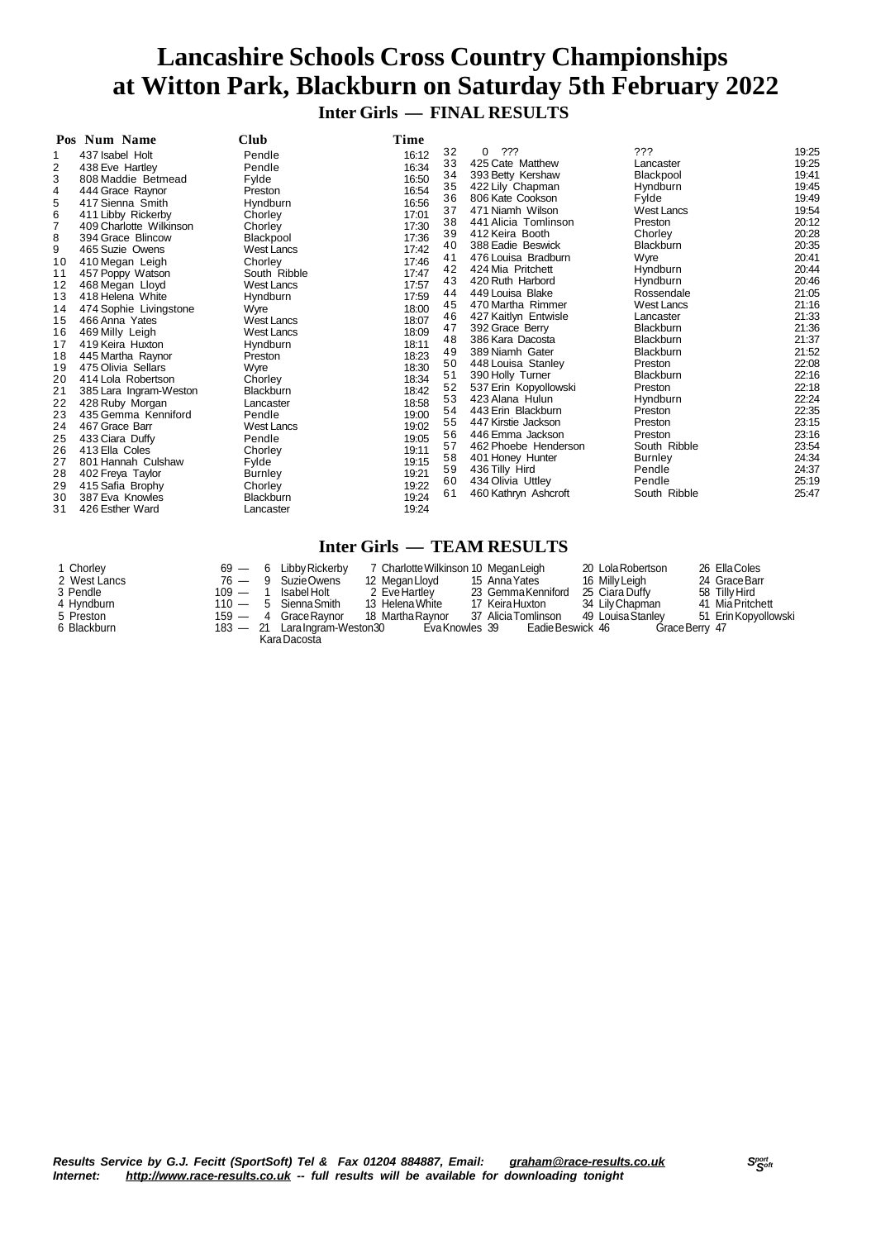## **Lancashire Schools Cross Country Championships at Witton Park, Blackburn on Saturday 5th February 2022 Inter Girls — FINAL RESULTS**

|                | Pos Num Name                        | <b>Club</b>                 | Time           |          |                                      |                        |                |
|----------------|-------------------------------------|-----------------------------|----------------|----------|--------------------------------------|------------------------|----------------|
|                | 437 Isabel Holt                     | Pendle                      | 16:12          | 32       | ???<br>$\Omega$                      | ???                    | 19:25          |
| 2              | 438 Eve Hartley                     | Pendle                      | 16:34          | 33       | 425 Cate Matthew                     | Lancaster              | 19:25          |
| 3              | 808 Maddie Betmead                  | Fylde                       | 16:50          | 34       | 393 Betty Kershaw                    | Blackpool              | 19:41          |
| 4              | 444 Grace Raynor                    | Preston                     | 16:54          | 35       | 422 Lily Chapman                     | Hyndburn               | 19:45          |
| 5              | 417 Sienna Smith                    | Hyndburn                    | 16:56          | 36       | 806 Kate Cookson                     | Fylde                  | 19:49          |
| 6              | 411 Libby Rickerby                  | Chorley                     | 17:01          | 37       | 471 Niamh Wilson                     | <b>West Lancs</b>      | 19:54          |
| $\overline{7}$ | 409 Charlotte Wilkinson             | Chorley                     | 17:30          | 38       | 441 Alicia Tomlinson                 | Preston                | 20:12          |
| 8              | 394 Grace Blincow                   | Blackpool                   | 17:36          | 39       | 412 Keira Booth                      | Chorley                | 20:28          |
| 9              | 465 Suzie Owens                     | <b>West Lancs</b>           | 17:42          | 40       | 388 Eadie Beswick                    | <b>Blackburn</b>       | 20:35          |
| 10             | 410 Megan Leigh                     | Chorley                     | 17:46          | 41       | 476 Louisa Bradburn                  | Wyre                   | 20:41          |
| 11             | 457 Poppy Watson                    | South Ribble                | 17:47          | 42<br>43 | 424 Mia Pritchett                    | Hyndburn               | 20:44<br>20:46 |
| 12             | 468 Megan Lloyd                     | <b>West Lancs</b>           | 17:57          |          | 420 Ruth Harbord<br>449 Louisa Blake | Hyndburn<br>Rossendale | 21:05          |
| 13             | 418 Helena White                    | Hyndburn                    | 17:59          | 44<br>45 | 470 Martha Rimmer                    | <b>West Lancs</b>      | 21:16          |
| 14             | 474 Sophie Livingstone              | Wyre                        | 18:00          | 46       | 427 Kaitlyn Entwisle                 | Lancaster              | 21:33          |
| 15             | 466 Anna Yates                      | <b>West Lancs</b>           | 18:07          | 47       | 392 Grace Berry                      | <b>Blackburn</b>       | 21:36          |
| 16             | 469 Milly Leigh                     | <b>West Lancs</b>           | 18:09          | 48       | 386 Kara Dacosta                     | <b>Blackburn</b>       | 21:37          |
| 17             | 419 Keira Huxton                    | Hyndburn                    | 18:11          | 49       | 389 Niamh Gater                      | Blackburn              | 21:52          |
| 18             | 445 Martha Raynor                   | Preston                     | 18:23          | 50       | 448 Louisa Stanley                   | Preston                | 22:08          |
| 19             | 475 Olivia Sellars                  | Wyre                        | 18:30          | 51       | 390 Holly Turner                     | <b>Blackburn</b>       | 22:16          |
| 20             | 414 Lola Robertson                  | Chorley                     | 18:34          | 52       | 537 Erin Kopyollowski                | Preston                | 22:18          |
| 21             | 385 Lara Ingram-Weston              | <b>Blackburn</b>            | 18:42          | 53       | 423 Alana Hulun                      | Hyndburn               | 22:24          |
| 22             | 428 Ruby Morgan                     | Lancaster                   | 18:58          | 54       | 443 Erin Blackburn                   | Preston                | 22:35          |
| 23             | 435 Gemma Kenniford                 | Pendle                      | 19:00          | 55       | 447 Kirstie Jackson                  | Preston                | 23:15          |
| 24             | 467 Grace Barr                      | <b>West Lancs</b>           | 19:02          | 56       | 446 Emma Jackson                     | Preston                | 23:16          |
| 25             | 433 Ciara Duffy                     | Pendle                      | 19:05          | 57       | 462 Phoebe Henderson                 | South Ribble           | 23:54          |
| 26             | 413 Ella Coles                      | Chorley                     | 19:11          | 58       | 401 Honey Hunter                     | <b>Burnley</b>         | 24:34          |
| 27             | 801 Hannah Culshaw                  | Fylde                       | 19:15<br>19:21 | 59       | 436 Tilly Hird                       | Pendle                 | 24:37          |
| 28             | 402 Freya Taylor                    | <b>Burnley</b>              | 19:22          | 60       | 434 Olivia Uttley                    | Pendle                 | 25:19          |
| 29<br>30       | 415 Safia Brophy<br>387 Eva Knowles | Chorley<br><b>Blackburn</b> | 19:24          | 61       | 460 Kathryn Ashcroft                 | South Ribble           | 25:47          |
| 31             | 426 Esther Ward                     | Lancaster                   | 19:24          |          |                                      |                        |                |
|                |                                     |                             |                |          |                                      |                        |                |

## **Inter Girls — TEAM RESULTS**

| 1 Chorley    | $69 -$    | - 6 | Libby Rickerby                 | 7 Charlotte Wilkinson 10 Megan Leigh |                     | 20 Lola Robertson | 26 Ella Coles        |
|--------------|-----------|-----|--------------------------------|--------------------------------------|---------------------|-------------------|----------------------|
| 2 West Lancs |           |     | 76 — 9 SuzieOwens              | 12 Megan Lloyd                       | 15 Anna Yates       | 16 Milly Leigh    | 24 Grace Barr        |
| 3 Pendle     | $109 - 1$ |     | Isabel Holt                    | 2 EveHartlev                         | 23 GemmaKenniford   | 25 Ciara Duffy    | 58 Tilly Hird        |
| 4 Hyndburn   |           |     | $110 - 5$ Sienna Smith         | 13 Helena White                      | 17 Keira Huxton     | 34 Lily Chapman   | 41 Mia Pritchett     |
| 5 Preston    |           |     | 159 - 4 Grace Raynor           | 18 Martha Ravnor                     | 37 Alicia Tomlinson | 49 Louisa Stanlev | 51 Erin Kopyollowski |
| 6 Blackburn  |           |     | 183 - 21 Lara Ingram-Weston 30 | Eva Knowles 39                       | EadieBeswick 46     | GraceBerry 47     |                      |
|              |           |     | Kara Dacosta                   |                                      |                     |                   |                      |